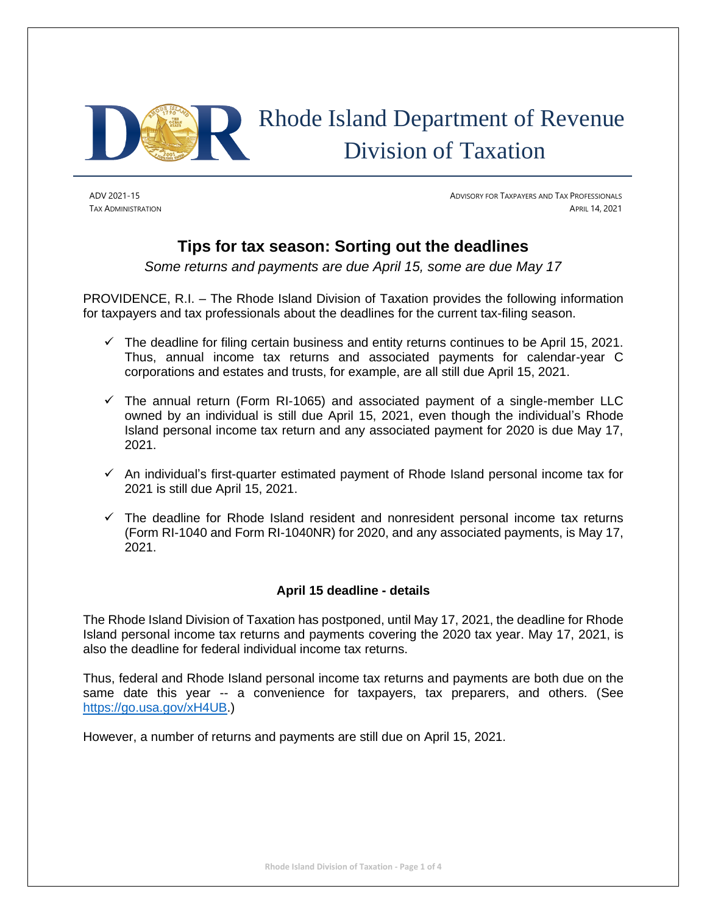

# Rhode Island Department of Revenue Division of Taxation

ADV 2021-15 ADVISORY FOR TAXPAYERS AND TAX PROFESSIONALS TAX ADMINISTRATION APRIL 14, 2021

# **Tips for tax season: Sorting out the deadlines**

*Some returns and payments are due April 15, some are due May 17*

PROVIDENCE, R.I. – The Rhode Island Division of Taxation provides the following information for taxpayers and tax professionals about the deadlines for the current tax-filing season.

- $\checkmark$  The deadline for filing certain business and entity returns continues to be April 15, 2021. Thus, annual income tax returns and associated payments for calendar-year C corporations and estates and trusts, for example, are all still due April 15, 2021.
- $\checkmark$  The annual return (Form RI-1065) and associated payment of a single-member LLC owned by an individual is still due April 15, 2021, even though the individual's Rhode Island personal income tax return and any associated payment for 2020 is due May 17, 2021.
- $\checkmark$  An individual's first-quarter estimated payment of Rhode Island personal income tax for 2021 is still due April 15, 2021.
- $\checkmark$  The deadline for Rhode Island resident and nonresident personal income tax returns (Form RI-1040 and Form RI-1040NR) for 2020, and any associated payments, is May 17, 2021.

# **April 15 deadline - details**

The Rhode Island Division of Taxation has postponed, until May 17, 2021, the deadline for Rhode Island personal income tax returns and payments covering the 2020 tax year. May 17, 2021, is also the deadline for federal individual income tax returns.

Thus, federal and Rhode Island personal income tax returns and payments are both due on the same date this year -- a convenience for taxpayers, tax preparers, and others. (See [https://go.usa.gov/xH4UB.](https://go.usa.gov/xH4UB))

However, a number of returns and payments are still due on April 15, 2021.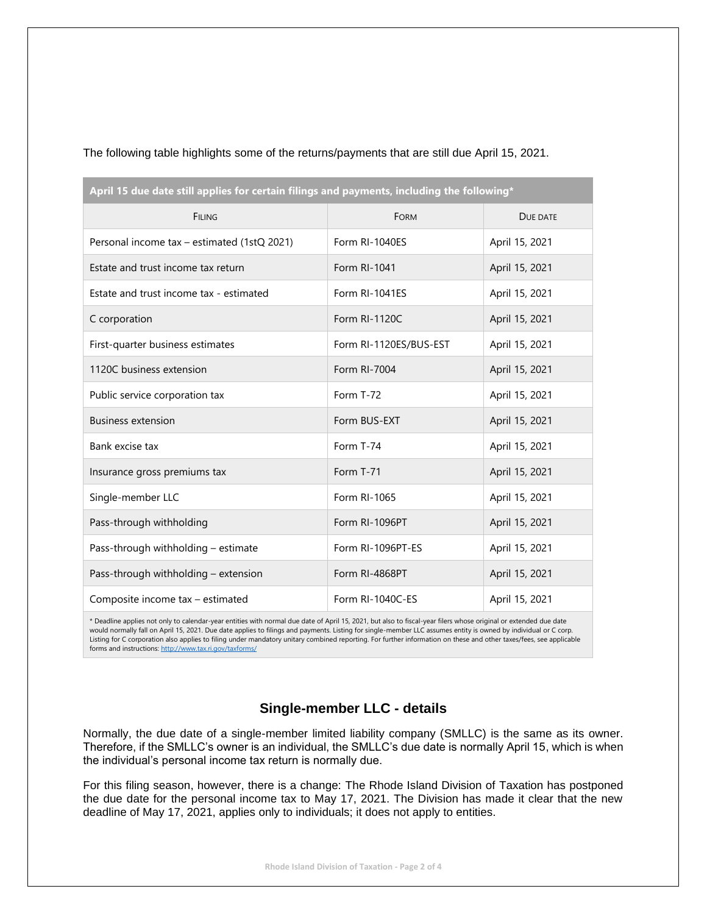| April 15 due date still applies for certain filings and payments, including the following* |                        |                |  |
|--------------------------------------------------------------------------------------------|------------------------|----------------|--|
| <b>FILING</b>                                                                              | FORM                   | DUE DATE       |  |
| Personal income tax – estimated (1stQ 2021)                                                | Form RI-1040ES         | April 15, 2021 |  |
| Estate and trust income tax return                                                         | Form RI-1041           | April 15, 2021 |  |
| Estate and trust income tax - estimated                                                    | Form RI-1041ES         | April 15, 2021 |  |
| C corporation                                                                              | Form RI-1120C          | April 15, 2021 |  |
| First-quarter business estimates                                                           | Form RI-1120ES/BUS-EST | April 15, 2021 |  |
| 1120C business extension                                                                   | Form RI-7004           | April 15, 2021 |  |
| Public service corporation tax                                                             | Form T-72              | April 15, 2021 |  |
| <b>Business extension</b>                                                                  | Form BUS-EXT           | April 15, 2021 |  |
| Bank excise tax                                                                            | Form T-74              | April 15, 2021 |  |
| Insurance gross premiums tax                                                               | Form T-71              | April 15, 2021 |  |
| Single-member LLC                                                                          | Form RI-1065           | April 15, 2021 |  |
| Pass-through withholding                                                                   | Form RI-1096PT         | April 15, 2021 |  |
| Pass-through withholding - estimate                                                        | Form RI-1096PT-ES      | April 15, 2021 |  |
| Pass-through withholding - extension                                                       | Form RI-4868PT         | April 15, 2021 |  |
| Composite income tax - estimated                                                           | Form RI-1040C-ES       | April 15, 2021 |  |

The following table highlights some of the returns/payments that are still due April 15, 2021.

\* Deadline applies not only to calendar-year entities with normal due date of April 15, 2021, but also to fiscal-year filers whose original or extended due date would normally fall on April 15, 2021. Due date applies to filings and payments. Listing for single-member LLC assumes entity is owned by individual or C corp. Listing for C corporation also applies to filing under mandatory unitary combined reporting. For further information on these and other taxes/fees, see applicable forms and instructions[: http://www.tax.ri.gov/taxforms/](http://www.tax.ri.gov/taxforms/)

# **Single-member LLC - details**

Normally, the due date of a single-member limited liability company (SMLLC) is the same as its owner. Therefore, if the SMLLC's owner is an individual, the SMLLC's due date is normally April 15, which is when the individual's personal income tax return is normally due.

For this filing season, however, there is a change: The Rhode Island Division of Taxation has postponed the due date for the personal income tax to May 17, 2021. The Division has made it clear that the new deadline of May 17, 2021, applies only to individuals; it does not apply to entities.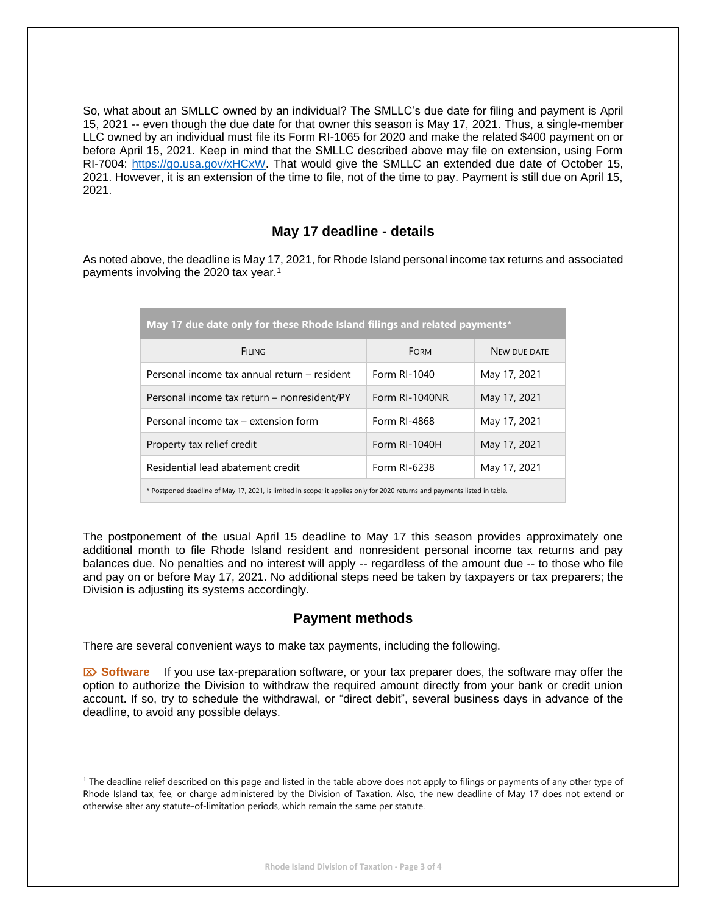So, what about an SMLLC owned by an individual? The SMLLC's due date for filing and payment is April 15, 2021 -- even though the due date for that owner this season is May 17, 2021. Thus, a single-member LLC owned by an individual must file its Form RI-1065 for 2020 and make the related \$400 payment on or before April 15, 2021. Keep in mind that the SMLLC described above may file on extension, using Form RI-7004: [https://go.usa.gov/xHCxW.](https://go.usa.gov/xHCxW) That would give the SMLLC an extended due date of October 15, 2021. However, it is an extension of the time to file, not of the time to pay. Payment is still due on April 15, 2021.

### **May 17 deadline - details**

As noted above, the deadline is May 17, 2021, for Rhode Island personal income tax returns and associated payments involving the 2020 tax year.<sup>1</sup>

| May 17 due date only for these Rhode Island filings and related payments*                                                 |                |              |  |
|---------------------------------------------------------------------------------------------------------------------------|----------------|--------------|--|
| <b>FILING</b>                                                                                                             | <b>FORM</b>    | NEW DUE DATE |  |
| Personal income tax annual return – resident                                                                              | Form RI-1040   | May 17, 2021 |  |
| Personal income tax return – nonresident/PY                                                                               | Form RI-1040NR | May 17, 2021 |  |
| Personal income tax – extension form                                                                                      | Form RI-4868   | May 17, 2021 |  |
| Property tax relief credit                                                                                                | Form RI-1040H  | May 17, 2021 |  |
| Residential lead abatement credit                                                                                         | Form RI-6238   | May 17, 2021 |  |
| * Postponed deadline of May 17, 2021, is limited in scope; it applies only for 2020 returns and payments listed in table. |                |              |  |

The postponement of the usual April 15 deadline to May 17 this season provides approximately one additional month to file Rhode Island resident and nonresident personal income tax returns and pay balances due. No penalties and no interest will apply -- regardless of the amount due -- to those who file and pay on or before May 17, 2021. No additional steps need be taken by taxpayers or tax preparers; the Division is adjusting its systems accordingly.

### **Payment methods**

There are several convenient ways to make tax payments, including the following.

 **Software** If you use tax-preparation software, or your tax preparer does, the software may offer the option to authorize the Division to withdraw the required amount directly from your bank or credit union account. If so, try to schedule the withdrawal, or "direct debit", several business days in advance of the deadline, to avoid any possible delays.

<sup>&</sup>lt;sup>1</sup> The deadline relief described on this page and listed in the table above does not apply to filings or payments of any other type of Rhode Island tax, fee, or charge administered by the Division of Taxation. Also, the new deadline of May 17 does not extend or otherwise alter any statute-of-limitation periods, which remain the same per statute.